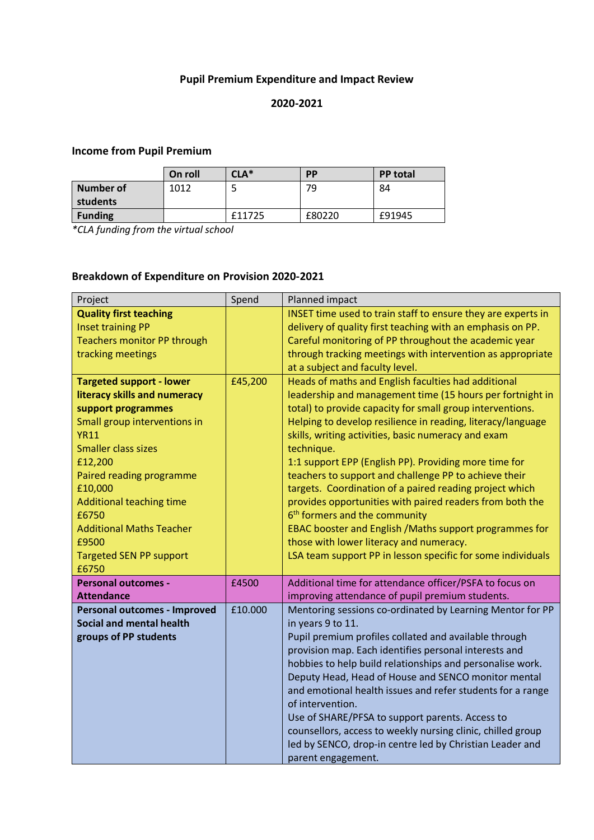### **Pupil Premium Expenditure and Impact Review**

#### **2020-2021**

# **Income from Pupil Premium**

|                  | On roll | $\mathsf{CLA}^*$ | PP     | <b>PP</b> total |
|------------------|---------|------------------|--------|-----------------|
| <b>Number of</b> | 1012    |                  | 79     | 84              |
| students         |         |                  |        |                 |
| <b>Funding</b>   |         | £11725           | £80220 | £91945          |

*\*CLA funding from the virtual school*

### **Breakdown of Expenditure on Provision 2020-2021**

| Project                                                                                                                                                                                                                                                                                                                                                 | Spend   | Planned impact                                                                                                                                                                                                                                                                                                                                                                                                                                                                                                                                                                                                                                                                                                                                                               |
|---------------------------------------------------------------------------------------------------------------------------------------------------------------------------------------------------------------------------------------------------------------------------------------------------------------------------------------------------------|---------|------------------------------------------------------------------------------------------------------------------------------------------------------------------------------------------------------------------------------------------------------------------------------------------------------------------------------------------------------------------------------------------------------------------------------------------------------------------------------------------------------------------------------------------------------------------------------------------------------------------------------------------------------------------------------------------------------------------------------------------------------------------------------|
| <b>Quality first teaching</b><br><b>Inset training PP</b><br><b>Teachers monitor PP through</b><br>tracking meetings                                                                                                                                                                                                                                    |         | INSET time used to train staff to ensure they are experts in<br>delivery of quality first teaching with an emphasis on PP.<br>Careful monitoring of PP throughout the academic year<br>through tracking meetings with intervention as appropriate<br>at a subject and faculty level.                                                                                                                                                                                                                                                                                                                                                                                                                                                                                         |
| <b>Targeted support - lower</b><br>literacy skills and numeracy<br>support programmes<br>Small group interventions in<br><b>YR11</b><br><b>Smaller class sizes</b><br>£12,200<br>Paired reading programme<br>£10,000<br><b>Additional teaching time</b><br>£6750<br><b>Additional Maths Teacher</b><br>£9500<br><b>Targeted SEN PP support</b><br>£6750 | £45,200 | Heads of maths and English faculties had additional<br>leadership and management time (15 hours per fortnight in<br>total) to provide capacity for small group interventions.<br>Helping to develop resilience in reading, literacy/language<br>skills, writing activities, basic numeracy and exam<br>technique.<br>1:1 support EPP (English PP). Providing more time for<br>teachers to support and challenge PP to achieve their<br>targets. Coordination of a paired reading project which<br>provides opportunities with paired readers from both the<br>6 <sup>th</sup> formers and the community<br>EBAC booster and English / Maths support programmes for<br>those with lower literacy and numeracy.<br>LSA team support PP in lesson specific for some individuals |
| <b>Personal outcomes -</b><br><b>Attendance</b>                                                                                                                                                                                                                                                                                                         | £4500   | Additional time for attendance officer/PSFA to focus on<br>improving attendance of pupil premium students.                                                                                                                                                                                                                                                                                                                                                                                                                                                                                                                                                                                                                                                                   |
| <b>Personal outcomes - Improved</b><br><b>Social and mental health</b><br>groups of PP students                                                                                                                                                                                                                                                         | £10.000 | Mentoring sessions co-ordinated by Learning Mentor for PP<br>in years 9 to 11.<br>Pupil premium profiles collated and available through<br>provision map. Each identifies personal interests and<br>hobbies to help build relationships and personalise work.<br>Deputy Head, Head of House and SENCO monitor mental<br>and emotional health issues and refer students for a range<br>of intervention.<br>Use of SHARE/PFSA to support parents. Access to<br>counsellors, access to weekly nursing clinic, chilled group<br>led by SENCO, drop-in centre led by Christian Leader and<br>parent engagement.                                                                                                                                                                   |